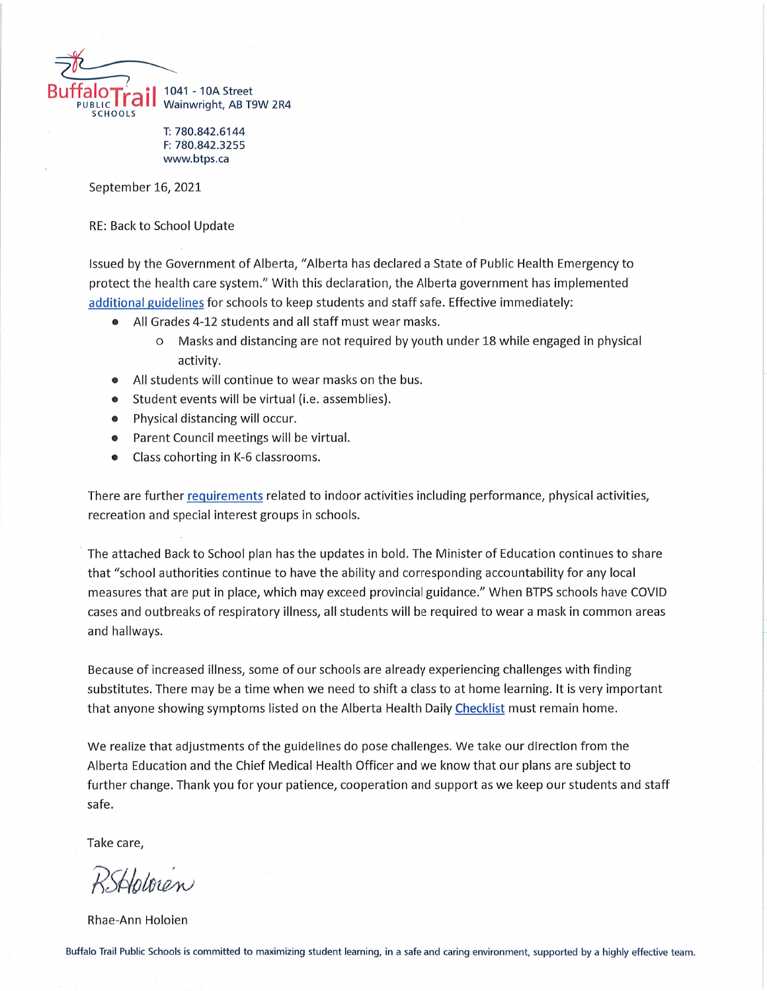

T: 780.842.6144 F: 780.842.3255 www.btps.ca

September 16, 2021

**RE: Back to School Update** 

Issued by the Government of Alberta, "Alberta has declared a State of Public Health Emergency to protect the health care system." With this declaration, the Alberta government has implemented additional guidelines for schools to keep students and staff safe. Effective immediately:

- All Grades 4-12 students and all staff must wear masks.  $\blacksquare$ 
	- O Masks and distancing are not required by youth under 18 while engaged in physical activity.
- All students will continue to wear masks on the bus.  $\bullet$
- Student events will be virtual (i.e. assemblies).  $\bullet$
- Physical distancing will occur.  $\bullet$
- Parent Council meetings will be virtual.  $\bullet$
- Class cohorting in K-6 classrooms.  $\bullet$

There are further requirements related to indoor activities including performance, physical activities, recreation and special interest groups in schools.

The attached Back to School plan has the updates in bold. The Minister of Education continues to share that "school authorities continue to have the ability and corresponding accountability for any local measures that are put in place, which may exceed provincial guidance." When BTPS schools have COVID cases and outbreaks of respiratory illness, all students will be required to wear a mask in common areas and hallways.

Because of increased illness, some of our schools are already experiencing challenges with finding substitutes. There may be a time when we need to shift a class to at home learning. It is very important that anyone showing symptoms listed on the Alberta Health Daily Checklist must remain home.

We realize that adjustments of the guidelines do pose challenges. We take our direction from the Alberta Education and the Chief Medical Health Officer and we know that our plans are subject to further change. Thank you for your patience, cooperation and support as we keep our students and staff safe.

Take care,

RSHoloren

Rhae-Ann Holoien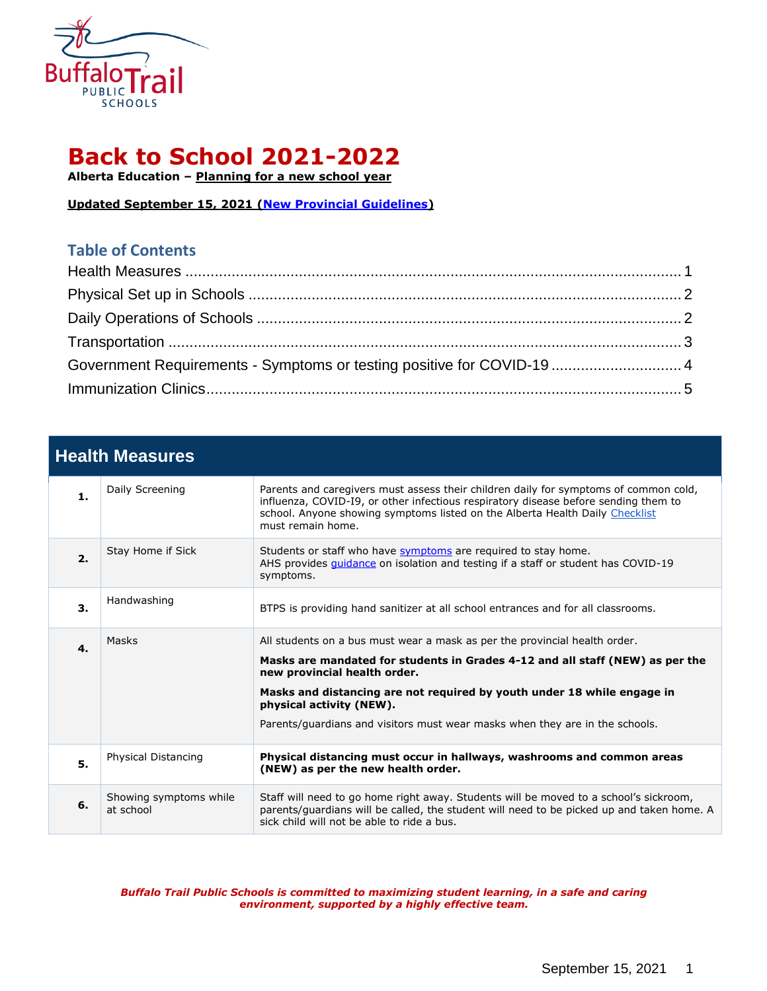

# **Back to School 2021-2022**

**Alberta Education – [Planning for a new school year](https://www.alberta.ca/k-12-learning-during-covid-19.aspx)**

**Updated September 15, 2021 [\(New Provincial Guidelines\)](https://www.alberta.ca/coronavirus-info-for-albertans.aspx)**

### **Table of Contents**

| Government Requirements - Symptoms or testing positive for COVID-19  4 |  |
|------------------------------------------------------------------------|--|
|                                                                        |  |

## <span id="page-1-0"></span>**Health Measures**

| $\mathbf{1}$ . | Daily Screening                     | Parents and caregivers must assess their children daily for symptoms of common cold,<br>influenza, COVID-I9, or other infectious respiratory disease before sending them to<br>school. Anyone showing symptoms listed on the Alberta Health Daily Checklist<br>must remain home.                                                                                                   |
|----------------|-------------------------------------|------------------------------------------------------------------------------------------------------------------------------------------------------------------------------------------------------------------------------------------------------------------------------------------------------------------------------------------------------------------------------------|
| 2.             | Stay Home if Sick                   | Students or staff who have symptoms are required to stay home.<br>AHS provides <i>guidance</i> on isolation and testing if a staff or student has COVID-19<br>symptoms.                                                                                                                                                                                                            |
| 3.             | Handwashing                         | BTPS is providing hand sanitizer at all school entrances and for all classrooms.                                                                                                                                                                                                                                                                                                   |
| $\mathbf{4}$   | Masks                               | All students on a bus must wear a mask as per the provincial health order.<br>Masks are mandated for students in Grades 4-12 and all staff (NEW) as per the<br>new provincial health order.<br>Masks and distancing are not required by youth under 18 while engage in<br>physical activity (NEW).<br>Parents/guardians and visitors must wear masks when they are in the schools. |
| 5.             | Physical Distancing                 | Physical distancing must occur in hallways, washrooms and common areas<br>(NEW) as per the new health order.                                                                                                                                                                                                                                                                       |
| 6.             | Showing symptoms while<br>at school | Staff will need to go home right away. Students will be moved to a school's sickroom,<br>parents/guardians will be called, the student will need to be picked up and taken home. A<br>sick child will not be able to ride a bus.                                                                                                                                                   |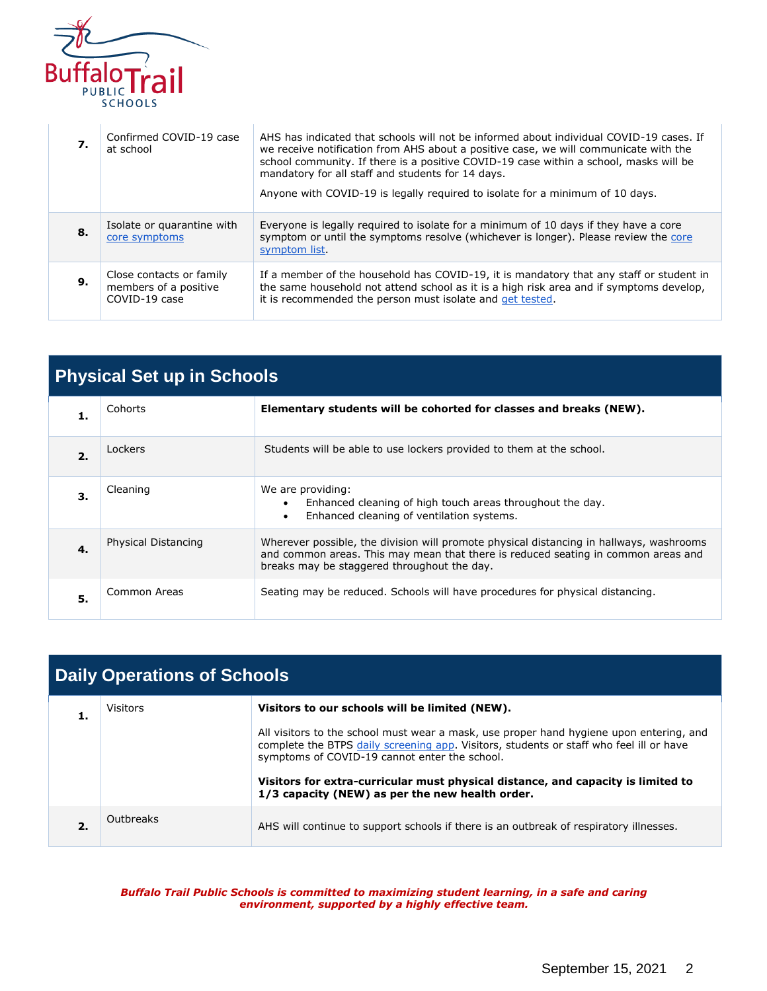

| 7. | Confirmed COVID-19 case<br>at school                               | AHS has indicated that schools will not be informed about individual COVID-19 cases. If<br>we receive notification from AHS about a positive case, we will communicate with the<br>school community. If there is a positive COVID-19 case within a school, masks will be<br>mandatory for all staff and students for 14 days.<br>Anyone with COVID-19 is legally required to isolate for a minimum of 10 days. |
|----|--------------------------------------------------------------------|----------------------------------------------------------------------------------------------------------------------------------------------------------------------------------------------------------------------------------------------------------------------------------------------------------------------------------------------------------------------------------------------------------------|
| 8. | Isolate or quarantine with<br>core symptoms                        | Everyone is legally reguired to isolate for a minimum of 10 days if they have a core<br>symptom or until the symptoms resolve (whichever is longer). Please review the core<br>symptom list.                                                                                                                                                                                                                   |
| 9. | Close contacts or family<br>members of a positive<br>COVID-19 case | If a member of the household has COVID-19, it is mandatory that any staff or student in<br>the same household not attend school as it is a high risk area and if symptoms develop,<br>it is recommended the person must isolate and get tested.                                                                                                                                                                |

<span id="page-2-0"></span>

| <b>Physical Set up in Schools</b> |                     |                                                                                                                                                                                                                             |
|-----------------------------------|---------------------|-----------------------------------------------------------------------------------------------------------------------------------------------------------------------------------------------------------------------------|
| 1.                                | Cohorts             | Elementary students will be cohorted for classes and breaks (NEW).                                                                                                                                                          |
| 2.                                | Lockers             | Students will be able to use lockers provided to them at the school.                                                                                                                                                        |
| З.                                | Cleaning            | We are providing:<br>Enhanced cleaning of high touch areas throughout the day.<br>Enhanced cleaning of ventilation systems.<br>$\bullet$                                                                                    |
| $\mathbf 4$                       | Physical Distancing | Wherever possible, the division will promote physical distancing in hallways, washrooms<br>and common areas. This may mean that there is reduced seating in common areas and<br>breaks may be staggered throughout the day. |
| 5.                                | Common Areas        | Seating may be reduced. Schools will have procedures for physical distancing.                                                                                                                                               |

<span id="page-2-1"></span>

| <b>Daily Operations of Schools</b> |                 |                                                                                                                                                                                                                                     |
|------------------------------------|-----------------|-------------------------------------------------------------------------------------------------------------------------------------------------------------------------------------------------------------------------------------|
|                                    | <b>Visitors</b> | Visitors to our schools will be limited (NEW).                                                                                                                                                                                      |
|                                    |                 | All visitors to the school must wear a mask, use proper hand hygiene upon entering, and<br>complete the BTPS daily screening app. Visitors, students or staff who feel ill or have<br>symptoms of COVID-19 cannot enter the school. |
|                                    |                 | Visitors for extra-curricular must physical distance, and capacity is limited to<br>1/3 capacity (NEW) as per the new health order.                                                                                                 |
| 2.                                 | Outbreaks       | AHS will continue to support schools if there is an outbreak of respiratory illnesses.                                                                                                                                              |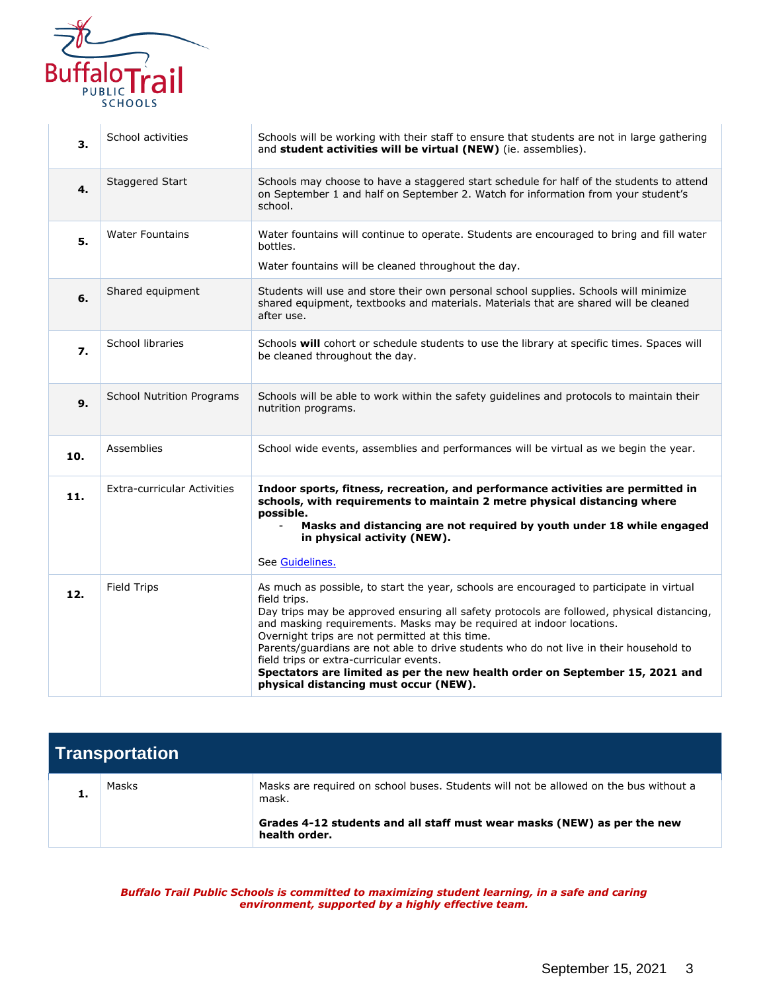

| 3.  | School activities                  | Schools will be working with their staff to ensure that students are not in large gathering<br>and student activities will be virtual (NEW) (ie. assemblies).                                                                                                                                                                                                                                                                                                                                                                                                                                   |
|-----|------------------------------------|-------------------------------------------------------------------------------------------------------------------------------------------------------------------------------------------------------------------------------------------------------------------------------------------------------------------------------------------------------------------------------------------------------------------------------------------------------------------------------------------------------------------------------------------------------------------------------------------------|
| 4.  | Staggered Start                    | Schools may choose to have a staggered start schedule for half of the students to attend<br>on September 1 and half on September 2. Watch for information from your student's<br>school.                                                                                                                                                                                                                                                                                                                                                                                                        |
| 5.  | <b>Water Fountains</b>             | Water fountains will continue to operate. Students are encouraged to bring and fill water<br>bottles.<br>Water fountains will be cleaned throughout the day.                                                                                                                                                                                                                                                                                                                                                                                                                                    |
| 6.  | Shared equipment                   | Students will use and store their own personal school supplies. Schools will minimize<br>shared equipment, textbooks and materials. Materials that are shared will be cleaned<br>after use.                                                                                                                                                                                                                                                                                                                                                                                                     |
| 7.  | School libraries                   | Schools will cohort or schedule students to use the library at specific times. Spaces will<br>be cleaned throughout the day.                                                                                                                                                                                                                                                                                                                                                                                                                                                                    |
| 9.  | <b>School Nutrition Programs</b>   | Schools will be able to work within the safety guidelines and protocols to maintain their<br>nutrition programs.                                                                                                                                                                                                                                                                                                                                                                                                                                                                                |
| 10. | Assemblies                         | School wide events, assemblies and performances will be virtual as we begin the year.                                                                                                                                                                                                                                                                                                                                                                                                                                                                                                           |
| 11. | <b>Extra-curricular Activities</b> | Indoor sports, fitness, recreation, and performance activities are permitted in<br>schools, with requirements to maintain 2 metre physical distancing where<br>possible.<br>Masks and distancing are not required by youth under 18 while engaged<br>in physical activity (NEW).<br>See Guidelines.                                                                                                                                                                                                                                                                                             |
| 12. | <b>Field Trips</b>                 | As much as possible, to start the year, schools are encouraged to participate in virtual<br>field trips.<br>Day trips may be approved ensuring all safety protocols are followed, physical distancing,<br>and masking requirements. Masks may be required at indoor locations.<br>Overnight trips are not permitted at this time.<br>Parents/guardians are not able to drive students who do not live in their household to<br>field trips or extra-curricular events.<br>Spectators are limited as per the new health order on September 15, 2021 and<br>physical distancing must occur (NEW). |

<span id="page-3-0"></span>

| Transportation |       |                                                                                                |
|----------------|-------|------------------------------------------------------------------------------------------------|
|                | Masks | Masks are required on school buses. Students will not be allowed on the bus without a<br>mask. |
|                |       | Grades 4-12 students and all staff must wear masks (NEW) as per the new<br>health order.       |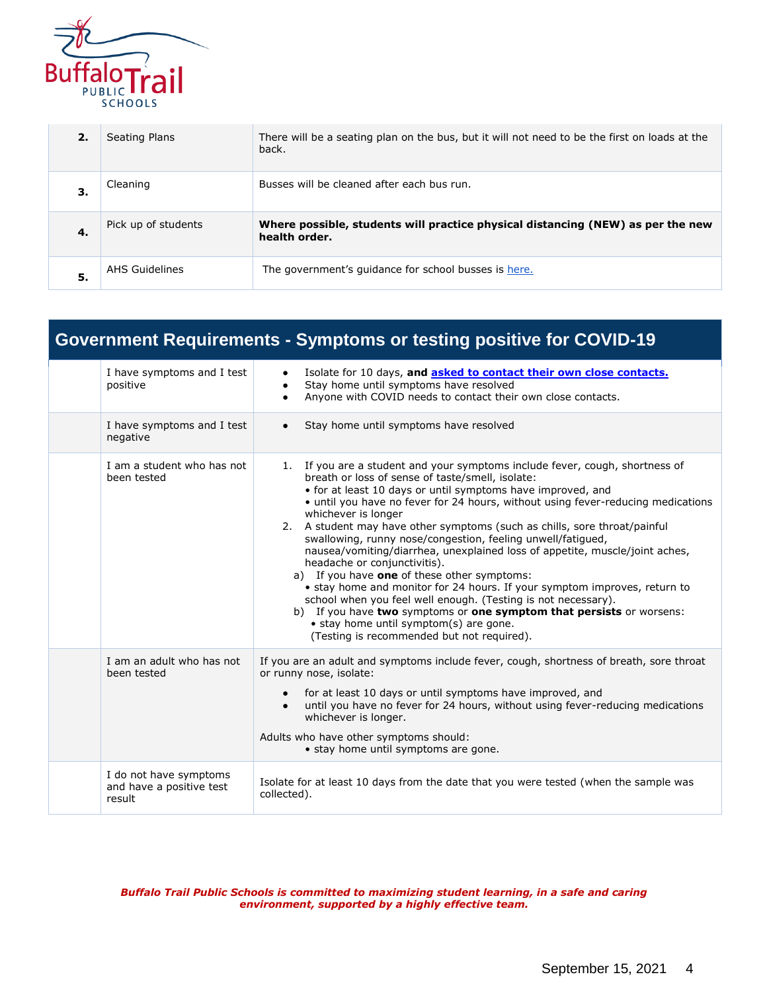

| 2. | Seating Plans         | There will be a seating plan on the bus, but it will not need to be the first on loads at the<br>back. |
|----|-----------------------|--------------------------------------------------------------------------------------------------------|
| З. | Cleaning              | Busses will be cleaned after each bus run.                                                             |
| 4. | Pick up of students   | Where possible, students will practice physical distancing (NEW) as per the new<br>health order.       |
| 5. | <b>AHS Guidelines</b> | The government's quidance for school busses is here.                                                   |

<span id="page-4-0"></span>

| <b>Government Requirements - Symptoms or testing positive for COVID-19</b> |                                                                                                                                                                                                                                                                                                                                                                                                                                                                                                                                                                                                                                                                                                                                                                                                                                                                                                                                    |  |
|----------------------------------------------------------------------------|------------------------------------------------------------------------------------------------------------------------------------------------------------------------------------------------------------------------------------------------------------------------------------------------------------------------------------------------------------------------------------------------------------------------------------------------------------------------------------------------------------------------------------------------------------------------------------------------------------------------------------------------------------------------------------------------------------------------------------------------------------------------------------------------------------------------------------------------------------------------------------------------------------------------------------|--|
| I have symptoms and I test<br>positive                                     | Isolate for 10 days, and asked to contact their own close contacts.<br>٠<br>Stay home until symptoms have resolved<br>Anyone with COVID needs to contact their own close contacts.<br>$\bullet$                                                                                                                                                                                                                                                                                                                                                                                                                                                                                                                                                                                                                                                                                                                                    |  |
| I have symptoms and I test<br>negative                                     | Stay home until symptoms have resolved<br>$\bullet$                                                                                                                                                                                                                                                                                                                                                                                                                                                                                                                                                                                                                                                                                                                                                                                                                                                                                |  |
| I am a student who has not<br>been tested                                  | 1. If you are a student and your symptoms include fever, cough, shortness of<br>breath or loss of sense of taste/smell, isolate:<br>• for at least 10 days or until symptoms have improved, and<br>• until you have no fever for 24 hours, without using fever-reducing medications<br>whichever is longer<br>2. A student may have other symptoms (such as chills, sore throat/painful<br>swallowing, runny nose/congestion, feeling unwell/fatigued,<br>nausea/vomiting/diarrhea, unexplained loss of appetite, muscle/joint aches,<br>headache or conjunctivitis).<br>a) If you have one of these other symptoms:<br>• stay home and monitor for 24 hours. If your symptom improves, return to<br>school when you feel well enough. (Testing is not necessary).<br>b) If you have two symptoms or one symptom that persists or worsens:<br>• stay home until symptom(s) are gone.<br>(Testing is recommended but not required). |  |
| I am an adult who has not<br>been tested                                   | If you are an adult and symptoms include fever, cough, shortness of breath, sore throat<br>or runny nose, isolate:<br>for at least 10 days or until symptoms have improved, and<br>$\bullet$<br>until you have no fever for 24 hours, without using fever-reducing medications<br>$\bullet$<br>whichever is longer.<br>Adults who have other symptoms should:<br>• stay home until symptoms are gone.                                                                                                                                                                                                                                                                                                                                                                                                                                                                                                                              |  |
| I do not have symptoms<br>and have a positive test<br>result               | Isolate for at least 10 days from the date that you were tested (when the sample was<br>collected).                                                                                                                                                                                                                                                                                                                                                                                                                                                                                                                                                                                                                                                                                                                                                                                                                                |  |